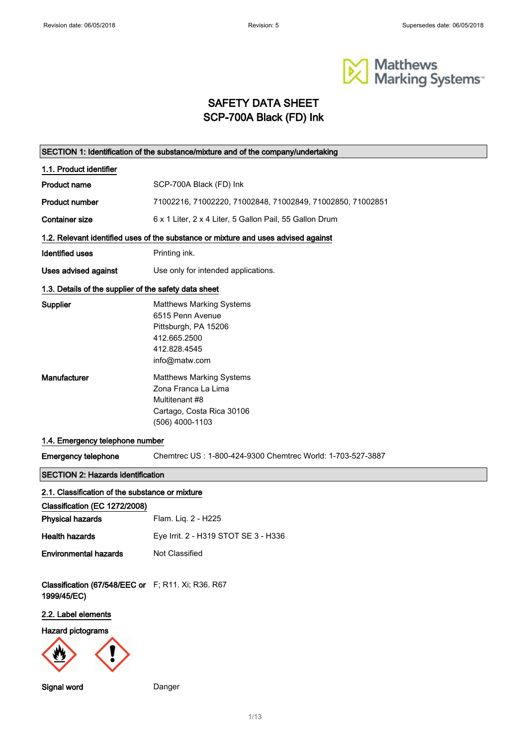

### SAFETY DATA SHEET SCP-700A Black (FD) Ink

|                                                                   | SECTION 1: Identification of the substance/mixture and of the company/undertaking                                            |
|-------------------------------------------------------------------|------------------------------------------------------------------------------------------------------------------------------|
| 1.1. Product identifier                                           |                                                                                                                              |
| Product name                                                      | SCP-700A Black (FD) Ink                                                                                                      |
| <b>Product number</b>                                             | 71002216, 71002220, 71002848, 71002849, 71002850, 71002851                                                                   |
| <b>Container size</b>                                             | 6 x 1 Liter, 2 x 4 Liter, 5 Gallon Pail, 55 Gallon Drum                                                                      |
|                                                                   | 1.2. Relevant identified uses of the substance or mixture and uses advised against                                           |
| <b>Identified uses</b>                                            | Printing ink.                                                                                                                |
| Uses advised against                                              | Use only for intended applications.                                                                                          |
| 1.3. Details of the supplier of the safety data sheet             |                                                                                                                              |
| Supplier                                                          | <b>Matthews Marking Systems</b><br>6515 Penn Avenue<br>Pittsburgh, PA 15206<br>412.665.2500<br>412.828.4545<br>info@matw.com |
| Manufacturer                                                      | <b>Matthews Marking Systems</b><br>Zona Franca La Lima<br>Multitenant #8<br>Cartago, Costa Rica 30106<br>(506) 4000-1103     |
| 1.4. Emergency telephone number                                   |                                                                                                                              |
| <b>Emergency telephone</b>                                        | Chemtrec US: 1-800-424-9300 Chemtrec World: 1-703-527-3887                                                                   |
| <b>SECTION 2: Hazards identification</b>                          |                                                                                                                              |
| 2.1. Classification of the substance or mixture                   |                                                                                                                              |
| Classification (EC 1272/2008)                                     |                                                                                                                              |
| <b>Physical hazards</b>                                           | Flam. Liq. 2 - H225                                                                                                          |
| <b>Health hazards</b>                                             | Eye Irrit. 2 - H319 STOT SE 3 - H336                                                                                         |
| <b>Environmental hazards</b>                                      | Not Classified                                                                                                               |
| Classification (67/548/EEC or F; R11. Xi; R36. R67<br>1999/45/EC) |                                                                                                                              |
| 2.2. Label elements                                               |                                                                                                                              |
| Hazard pictograms                                                 |                                                                                                                              |
|                                                                   |                                                                                                                              |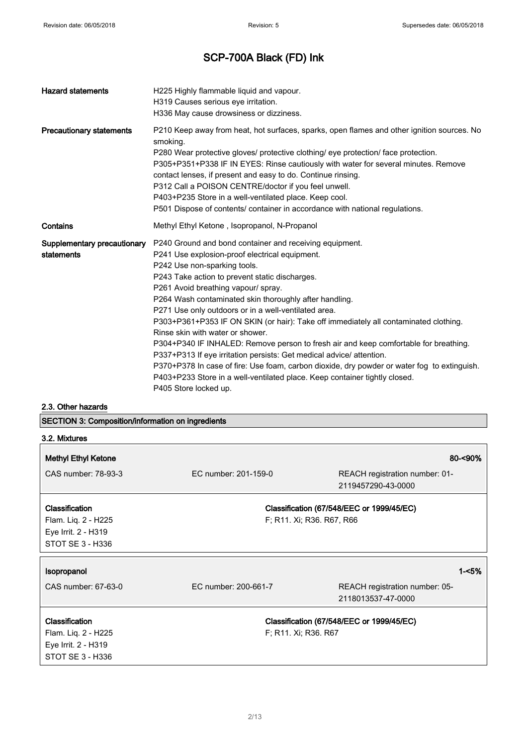| <b>Hazard statements</b>                  | H225 Highly flammable liquid and vapour.<br>H319 Causes serious eye irritation.<br>H336 May cause drowsiness or dizziness.                                                                                                                                                                                                                                                                                                                                                                                                                                                                                                                                                                                                                                                                                                                             |
|-------------------------------------------|--------------------------------------------------------------------------------------------------------------------------------------------------------------------------------------------------------------------------------------------------------------------------------------------------------------------------------------------------------------------------------------------------------------------------------------------------------------------------------------------------------------------------------------------------------------------------------------------------------------------------------------------------------------------------------------------------------------------------------------------------------------------------------------------------------------------------------------------------------|
| <b>Precautionary statements</b>           | P210 Keep away from heat, hot surfaces, sparks, open flames and other ignition sources. No<br>smoking.<br>P280 Wear protective gloves/ protective clothing/ eye protection/ face protection.<br>P305+P351+P338 IF IN EYES: Rinse cautiously with water for several minutes. Remove<br>contact lenses, if present and easy to do. Continue rinsing.<br>P312 Call a POISON CENTRE/doctor if you feel unwell.<br>P403+P235 Store in a well-ventilated place. Keep cool.<br>P501 Dispose of contents/ container in accordance with national regulations.                                                                                                                                                                                                                                                                                                   |
| Contains                                  | Methyl Ethyl Ketone, Isopropanol, N-Propanol                                                                                                                                                                                                                                                                                                                                                                                                                                                                                                                                                                                                                                                                                                                                                                                                           |
| Supplementary precautionary<br>statements | P240 Ground and bond container and receiving equipment.<br>P241 Use explosion-proof electrical equipment.<br>P242 Use non-sparking tools.<br>P243 Take action to prevent static discharges.<br>P261 Avoid breathing vapour/ spray.<br>P264 Wash contaminated skin thoroughly after handling.<br>P271 Use only outdoors or in a well-ventilated area.<br>P303+P361+P353 IF ON SKIN (or hair): Take off immediately all contaminated clothing.<br>Rinse skin with water or shower.<br>P304+P340 IF INHALED: Remove person to fresh air and keep comfortable for breathing.<br>P337+P313 If eye irritation persists: Get medical advice/ attention.<br>P370+P378 In case of fire: Use foam, carbon dioxide, dry powder or water fog to extinguish.<br>P403+P233 Store in a well-ventilated place. Keep container tightly closed.<br>P405 Store locked up. |

### 2.3. Other hazards

SECTION 3: Composition/information on ingredients

| 3.2. Mixtures                                                                    |                           |                                                      |
|----------------------------------------------------------------------------------|---------------------------|------------------------------------------------------|
| <b>Methyl Ethyl Ketone</b>                                                       |                           | $80 - 90\%$                                          |
| CAS number: 78-93-3                                                              | EC number: 201-159-0      | REACH registration number: 01-<br>2119457290-43-0000 |
| Classification<br>Flam. Liq. 2 - H225<br>Eye Irrit. 2 - H319<br>STOT SE 3 - H336 | F; R11. Xi; R36. R67, R66 | Classification (67/548/EEC or 1999/45/EC)            |
| Isopropanol                                                                      |                           | 1-<5%                                                |
| CAS number: 67-63-0                                                              | EC number: 200-661-7      | REACH registration number: 05-<br>2118013537-47-0000 |
| Classification<br>Flam. Liq. 2 - H225<br>Eye Irrit. 2 - H319<br>STOT SE 3 - H336 | F; R11. Xi; R36. R67      | Classification (67/548/EEC or 1999/45/EC)            |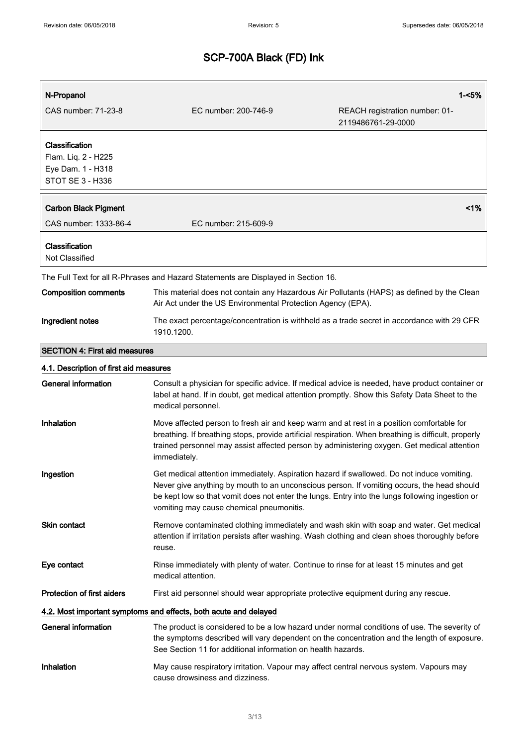| N-Propanol                             |                                                                                                                                                                                                                                                                                                                                         | $1 - 5%$                                             |
|----------------------------------------|-----------------------------------------------------------------------------------------------------------------------------------------------------------------------------------------------------------------------------------------------------------------------------------------------------------------------------------------|------------------------------------------------------|
| CAS number: 71-23-8                    | EC number: 200-746-9                                                                                                                                                                                                                                                                                                                    | REACH registration number: 01-<br>2119486761-29-0000 |
| Classification                         |                                                                                                                                                                                                                                                                                                                                         |                                                      |
| Flam. Liq. 2 - H225                    |                                                                                                                                                                                                                                                                                                                                         |                                                      |
| Eye Dam. 1 - H318<br>STOT SE 3 - H336  |                                                                                                                                                                                                                                                                                                                                         |                                                      |
|                                        |                                                                                                                                                                                                                                                                                                                                         |                                                      |
| <b>Carbon Black Pigment</b>            |                                                                                                                                                                                                                                                                                                                                         | 1%                                                   |
| CAS number: 1333-86-4                  | EC number: 215-609-9                                                                                                                                                                                                                                                                                                                    |                                                      |
| Classification<br>Not Classified       |                                                                                                                                                                                                                                                                                                                                         |                                                      |
|                                        | The Full Text for all R-Phrases and Hazard Statements are Displayed in Section 16.                                                                                                                                                                                                                                                      |                                                      |
| <b>Composition comments</b>            | This material does not contain any Hazardous Air Pollutants (HAPS) as defined by the Clean<br>Air Act under the US Environmental Protection Agency (EPA).                                                                                                                                                                               |                                                      |
| Ingredient notes                       | The exact percentage/concentration is withheld as a trade secret in accordance with 29 CFR<br>1910.1200.                                                                                                                                                                                                                                |                                                      |
| <b>SECTION 4: First aid measures</b>   |                                                                                                                                                                                                                                                                                                                                         |                                                      |
| 4.1. Description of first aid measures |                                                                                                                                                                                                                                                                                                                                         |                                                      |
| <b>General information</b>             | Consult a physician for specific advice. If medical advice is needed, have product container or<br>label at hand. If in doubt, get medical attention promptly. Show this Safety Data Sheet to the<br>medical personnel.                                                                                                                 |                                                      |
| Inhalation                             | Move affected person to fresh air and keep warm and at rest in a position comfortable for<br>breathing. If breathing stops, provide artificial respiration. When breathing is difficult, properly<br>trained personnel may assist affected person by administering oxygen. Get medical attention<br>immediately.                        |                                                      |
| Ingestion                              | Get medical attention immediately. Aspiration hazard if swallowed. Do not induce vomiting.<br>Never give anything by mouth to an unconscious person. If vomiting occurs, the head should<br>be kept low so that vomit does not enter the lungs. Entry into the lungs following ingestion or<br>vomiting may cause chemical pneumonitis. |                                                      |
| <b>Skin contact</b>                    | Remove contaminated clothing immediately and wash skin with soap and water. Get medical<br>attention if irritation persists after washing. Wash clothing and clean shoes thoroughly before<br>reuse.                                                                                                                                    |                                                      |
| Eye contact                            | Rinse immediately with plenty of water. Continue to rinse for at least 15 minutes and get<br>medical attention.                                                                                                                                                                                                                         |                                                      |
| Protection of first aiders             | First aid personnel should wear appropriate protective equipment during any rescue.                                                                                                                                                                                                                                                     |                                                      |
|                                        | 4.2. Most important symptoms and effects, both acute and delayed                                                                                                                                                                                                                                                                        |                                                      |
| <b>General information</b>             | The product is considered to be a low hazard under normal conditions of use. The severity of<br>the symptoms described will vary dependent on the concentration and the length of exposure.<br>See Section 11 for additional information on health hazards.                                                                             |                                                      |

Inhalation May cause respiratory irritation. Vapour may affect central nervous system. Vapours may cause drowsiness and dizziness.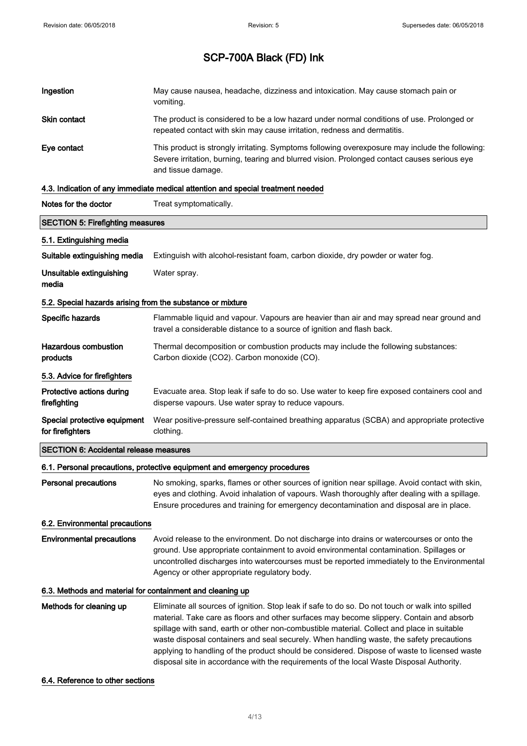| Ingestion                                                  | May cause nausea, headache, dizziness and intoxication. May cause stomach pain or<br>vomiting.                                                                                                                                                                                                                                                                                                                                                                                                                                                                                     |
|------------------------------------------------------------|------------------------------------------------------------------------------------------------------------------------------------------------------------------------------------------------------------------------------------------------------------------------------------------------------------------------------------------------------------------------------------------------------------------------------------------------------------------------------------------------------------------------------------------------------------------------------------|
| Skin contact                                               | The product is considered to be a low hazard under normal conditions of use. Prolonged or<br>repeated contact with skin may cause irritation, redness and dermatitis.                                                                                                                                                                                                                                                                                                                                                                                                              |
| Eye contact                                                | This product is strongly irritating. Symptoms following overexposure may include the following:<br>Severe irritation, burning, tearing and blurred vision. Prolonged contact causes serious eye<br>and tissue damage.                                                                                                                                                                                                                                                                                                                                                              |
|                                                            | 4.3. Indication of any immediate medical attention and special treatment needed                                                                                                                                                                                                                                                                                                                                                                                                                                                                                                    |
| Notes for the doctor                                       | Treat symptomatically.                                                                                                                                                                                                                                                                                                                                                                                                                                                                                                                                                             |
| <b>SECTION 5: Firefighting measures</b>                    |                                                                                                                                                                                                                                                                                                                                                                                                                                                                                                                                                                                    |
| 5.1. Extinguishing media                                   |                                                                                                                                                                                                                                                                                                                                                                                                                                                                                                                                                                                    |
| Suitable extinguishing media                               | Extinguish with alcohol-resistant foam, carbon dioxide, dry powder or water fog.                                                                                                                                                                                                                                                                                                                                                                                                                                                                                                   |
| Unsuitable extinguishing<br>media                          | Water spray.                                                                                                                                                                                                                                                                                                                                                                                                                                                                                                                                                                       |
| 5.2. Special hazards arising from the substance or mixture |                                                                                                                                                                                                                                                                                                                                                                                                                                                                                                                                                                                    |
| Specific hazards                                           | Flammable liquid and vapour. Vapours are heavier than air and may spread near ground and<br>travel a considerable distance to a source of ignition and flash back.                                                                                                                                                                                                                                                                                                                                                                                                                 |
| <b>Hazardous combustion</b><br>products                    | Thermal decomposition or combustion products may include the following substances:<br>Carbon dioxide (CO2). Carbon monoxide (CO).                                                                                                                                                                                                                                                                                                                                                                                                                                                  |
| 5.3. Advice for firefighters                               |                                                                                                                                                                                                                                                                                                                                                                                                                                                                                                                                                                                    |
| Protective actions during<br>firefighting                  | Evacuate area. Stop leak if safe to do so. Use water to keep fire exposed containers cool and<br>disperse vapours. Use water spray to reduce vapours.                                                                                                                                                                                                                                                                                                                                                                                                                              |
| Special protective equipment<br>for firefighters           | Wear positive-pressure self-contained breathing apparatus (SCBA) and appropriate protective<br>clothing.                                                                                                                                                                                                                                                                                                                                                                                                                                                                           |
| <b>SECTION 6: Accidental release measures</b>              |                                                                                                                                                                                                                                                                                                                                                                                                                                                                                                                                                                                    |
|                                                            | 6.1. Personal precautions, protective equipment and emergency procedures                                                                                                                                                                                                                                                                                                                                                                                                                                                                                                           |
| <b>Personal precautions</b>                                | No smoking, sparks, flames or other sources of ignition near spillage. Avoid contact with skin,<br>eyes and clothing. Avoid inhalation of vapours. Wash thoroughly after dealing with a spillage.<br>Ensure procedures and training for emergency decontamination and disposal are in place.                                                                                                                                                                                                                                                                                       |
| 6.2. Environmental precautions                             |                                                                                                                                                                                                                                                                                                                                                                                                                                                                                                                                                                                    |
| <b>Environmental precautions</b>                           | Avoid release to the environment. Do not discharge into drains or watercourses or onto the<br>ground. Use appropriate containment to avoid environmental contamination. Spillages or<br>uncontrolled discharges into watercourses must be reported immediately to the Environmental<br>Agency or other appropriate regulatory body.                                                                                                                                                                                                                                                |
| 6.3. Methods and material for containment and cleaning up  |                                                                                                                                                                                                                                                                                                                                                                                                                                                                                                                                                                                    |
| Methods for cleaning up                                    | Eliminate all sources of ignition. Stop leak if safe to do so. Do not touch or walk into spilled<br>material. Take care as floors and other surfaces may become slippery. Contain and absorb<br>spillage with sand, earth or other non-combustible material. Collect and place in suitable<br>waste disposal containers and seal securely. When handling waste, the safety precautions<br>applying to handling of the product should be considered. Dispose of waste to licensed waste<br>disposal site in accordance with the requirements of the local Waste Disposal Authority. |

### 6.4. Reference to other sections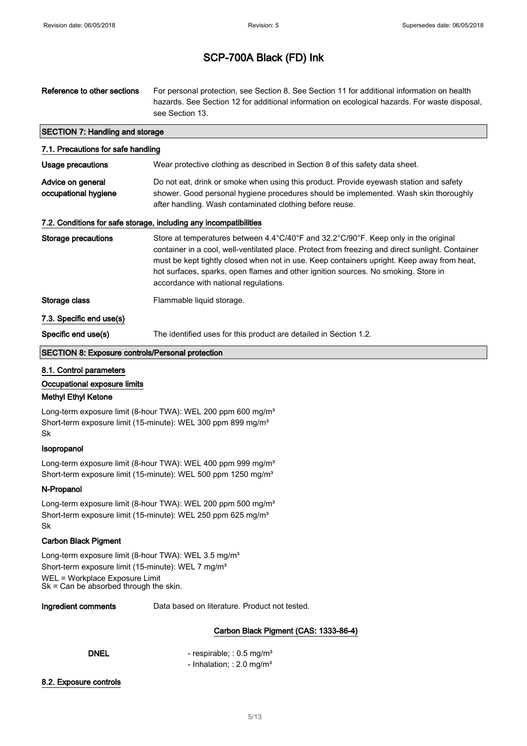| Reference to other sections                             | For personal protection, see Section 8. See Section 11 for additional information on health<br>hazards. See Section 12 for additional information on ecological hazards. For waste disposal,<br>see Section 13.                                                                                                                                                                                                                                       |  |  |
|---------------------------------------------------------|-------------------------------------------------------------------------------------------------------------------------------------------------------------------------------------------------------------------------------------------------------------------------------------------------------------------------------------------------------------------------------------------------------------------------------------------------------|--|--|
| <b>SECTION 7: Handling and storage</b>                  |                                                                                                                                                                                                                                                                                                                                                                                                                                                       |  |  |
| 7.1. Precautions for safe handling                      |                                                                                                                                                                                                                                                                                                                                                                                                                                                       |  |  |
| <b>Usage precautions</b>                                | Wear protective clothing as described in Section 8 of this safety data sheet.                                                                                                                                                                                                                                                                                                                                                                         |  |  |
| Advice on general<br>occupational hygiene               | Do not eat, drink or smoke when using this product. Provide eyewash station and safety<br>shower. Good personal hygiene procedures should be implemented. Wash skin thoroughly<br>after handling. Wash contaminated clothing before reuse.                                                                                                                                                                                                            |  |  |
|                                                         | 7.2. Conditions for safe storage, including any incompatibilities                                                                                                                                                                                                                                                                                                                                                                                     |  |  |
| Storage precautions                                     | Store at temperatures between $4.4^{\circ}C/40^{\circ}F$ and $32.2^{\circ}C/90^{\circ}F$ . Keep only in the original<br>container in a cool, well-ventilated place. Protect from freezing and direct sunlight. Container<br>must be kept tightly closed when not in use. Keep containers upright. Keep away from heat,<br>hot surfaces, sparks, open flames and other ignition sources. No smoking. Store in<br>accordance with national regulations. |  |  |
| Storage class                                           | Flammable liquid storage.                                                                                                                                                                                                                                                                                                                                                                                                                             |  |  |
| 7.3. Specific end use(s)                                |                                                                                                                                                                                                                                                                                                                                                                                                                                                       |  |  |
| Specific end use(s)                                     | The identified uses for this product are detailed in Section 1.2.                                                                                                                                                                                                                                                                                                                                                                                     |  |  |
| <b>SECTION 8: Exposure controls/Personal protection</b> |                                                                                                                                                                                                                                                                                                                                                                                                                                                       |  |  |

### 8.1. Control parameters

### Occupational exposure limits

#### Methyl Ethyl Ketone

Long-term exposure limit (8-hour TWA): WEL 200 ppm 600 mg/m<sup>3</sup> Short-term exposure limit (15-minute): WEL 300 ppm 899 mg/m<sup>3</sup> Sk

### Isopropanol

Long-term exposure limit (8-hour TWA): WEL 400 ppm 999 mg/m<sup>3</sup> Short-term exposure limit (15-minute): WEL 500 ppm 1250 mg/m<sup>3</sup>

#### N-Propanol

Long-term exposure limit (8-hour TWA): WEL 200 ppm 500 mg/m<sup>3</sup> Short-term exposure limit (15-minute): WEL 250 ppm 625 mg/m<sup>3</sup> Sk

#### Carbon Black Pigment

Long-term exposure limit (8-hour TWA): WEL 3.5 mg/m<sup>3</sup> Short-term exposure limit (15-minute): WEL 7 mg/m<sup>3</sup>

WEL = Workplace Exposure Limit Sk = Can be absorbed through the skin.

Ingredient comments Data based on literature. Product not tested.

### Carbon Black Pigment (CAS: 1333-86-4)

- respirable;  $: 0.5$  mg/m<sup>3</sup> - Inhalation; : 2.0 mg/m<sup>3</sup>

### 8.2. Exposure controls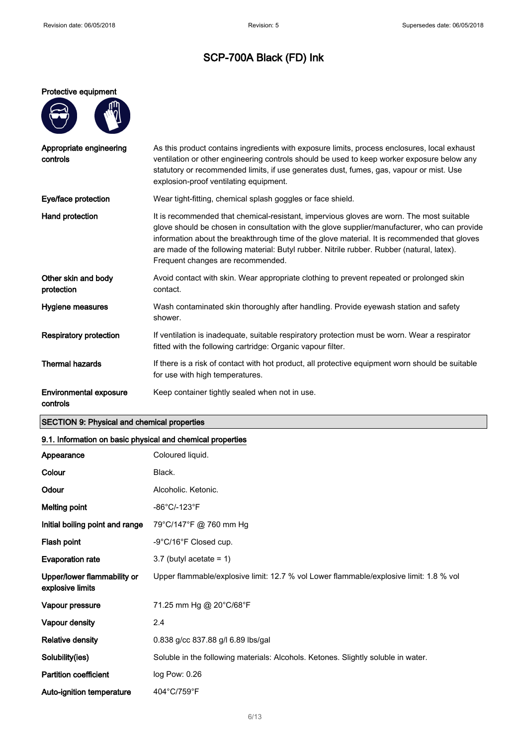### Protective equipment

| ſΨ<br>Π<br>ı |
|--------------|
|              |
|              |
|              |

| Appropriate engineering<br>controls       | As this product contains ingredients with exposure limits, process enclosures, local exhaust<br>ventilation or other engineering controls should be used to keep worker exposure below any<br>statutory or recommended limits, if use generates dust, fumes, gas, vapour or mist. Use<br>explosion-proof ventilating equipment.                                                                                             |
|-------------------------------------------|-----------------------------------------------------------------------------------------------------------------------------------------------------------------------------------------------------------------------------------------------------------------------------------------------------------------------------------------------------------------------------------------------------------------------------|
| Eye/face protection                       | Wear tight-fitting, chemical splash goggles or face shield.                                                                                                                                                                                                                                                                                                                                                                 |
| Hand protection                           | It is recommended that chemical-resistant, impervious gloves are worn. The most suitable<br>glove should be chosen in consultation with the glove supplier/manufacturer, who can provide<br>information about the breakthrough time of the glove material. It is recommended that gloves<br>are made of the following material: Butyl rubber. Nitrile rubber. Rubber (natural, latex).<br>Frequent changes are recommended. |
| Other skin and body<br>protection         | Avoid contact with skin. Wear appropriate clothing to prevent repeated or prolonged skin<br>contact.                                                                                                                                                                                                                                                                                                                        |
| Hygiene measures                          | Wash contaminated skin thoroughly after handling. Provide eyewash station and safety<br>shower.                                                                                                                                                                                                                                                                                                                             |
| <b>Respiratory protection</b>             | If ventilation is inadequate, suitable respiratory protection must be worn. Wear a respirator<br>fitted with the following cartridge: Organic vapour filter.                                                                                                                                                                                                                                                                |
| <b>Thermal hazards</b>                    | If there is a risk of contact with hot product, all protective equipment worn should be suitable<br>for use with high temperatures.                                                                                                                                                                                                                                                                                         |
| <b>Environmental exposure</b><br>controls | Keep container tightly sealed when not in use.                                                                                                                                                                                                                                                                                                                                                                              |

### SECTION 9: Physical and chemical properties

### 9.1. Information on basic physical and chemical properties

| Appearance                                      | Coloured liquid.                                                                       |
|-------------------------------------------------|----------------------------------------------------------------------------------------|
| Colour                                          | Black.                                                                                 |
| Odour                                           | Alcoholic. Ketonic.                                                                    |
| <b>Melting point</b>                            | $-86^{\circ}$ C/-123 $^{\circ}$ F                                                      |
| Initial boiling point and range                 | 79°C/147°F @ 760 mm Hg                                                                 |
| Flash point                                     | -9°C/16°F Closed cup.                                                                  |
| <b>Evaporation rate</b>                         | 3.7 (butyl acetate = $1$ )                                                             |
| Upper/lower flammability or<br>explosive limits | Upper flammable/explosive limit: 12.7 % vol Lower flammable/explosive limit: 1.8 % vol |
| Vapour pressure                                 | 71.25 mm Hg @ 20°C/68°F                                                                |
| Vapour density                                  | 2.4                                                                                    |
| <b>Relative density</b>                         | 0.838 g/cc 837.88 g/l 6.89 lbs/gal                                                     |
| Solubility(ies)                                 | Soluble in the following materials: Alcohols. Ketones. Slightly soluble in water.      |
| <b>Partition coefficient</b>                    | log Pow: 0.26                                                                          |
| Auto-ignition temperature                       | 404°C/759°F                                                                            |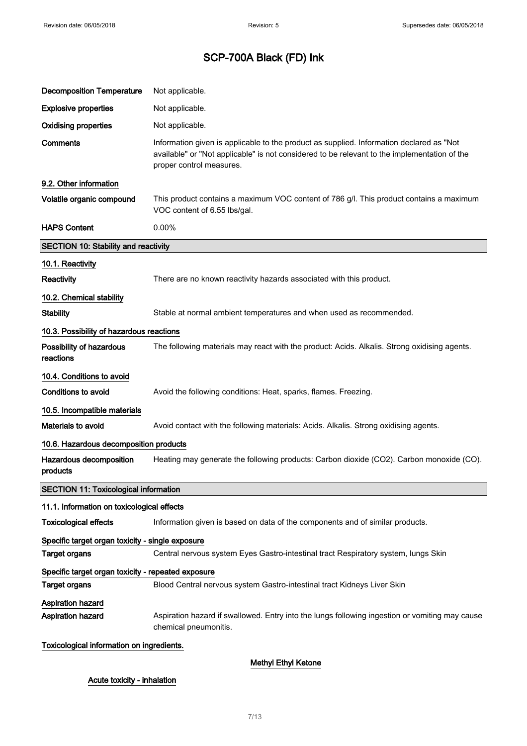| <b>Decomposition Temperature</b>                   | Not applicable.                                                                                                                                                                                                      |  |
|----------------------------------------------------|----------------------------------------------------------------------------------------------------------------------------------------------------------------------------------------------------------------------|--|
| <b>Explosive properties</b>                        | Not applicable.                                                                                                                                                                                                      |  |
| <b>Oxidising properties</b>                        | Not applicable.                                                                                                                                                                                                      |  |
| Comments                                           | Information given is applicable to the product as supplied. Information declared as "Not<br>available" or "Not applicable" is not considered to be relevant to the implementation of the<br>proper control measures. |  |
| 9.2. Other information                             |                                                                                                                                                                                                                      |  |
| Volatile organic compound                          | This product contains a maximum VOC content of 786 g/l. This product contains a maximum<br>VOC content of 6.55 lbs/gal.                                                                                              |  |
| <b>HAPS Content</b>                                | 0.00%                                                                                                                                                                                                                |  |
| <b>SECTION 10: Stability and reactivity</b>        |                                                                                                                                                                                                                      |  |
| 10.1. Reactivity                                   |                                                                                                                                                                                                                      |  |
| Reactivity                                         | There are no known reactivity hazards associated with this product.                                                                                                                                                  |  |
| 10.2. Chemical stability                           |                                                                                                                                                                                                                      |  |
| <b>Stability</b>                                   | Stable at normal ambient temperatures and when used as recommended.                                                                                                                                                  |  |
| 10.3. Possibility of hazardous reactions           |                                                                                                                                                                                                                      |  |
| Possibility of hazardous<br>reactions              | The following materials may react with the product: Acids. Alkalis. Strong oxidising agents.                                                                                                                         |  |
| 10.4. Conditions to avoid                          |                                                                                                                                                                                                                      |  |
| Conditions to avoid                                | Avoid the following conditions: Heat, sparks, flames. Freezing.                                                                                                                                                      |  |
| 10.5. Incompatible materials                       |                                                                                                                                                                                                                      |  |
| Materials to avoid                                 | Avoid contact with the following materials: Acids. Alkalis. Strong oxidising agents.                                                                                                                                 |  |
| 10.6. Hazardous decomposition products             |                                                                                                                                                                                                                      |  |
| Hazardous decomposition<br>products                | Heating may generate the following products: Carbon dioxide (CO2). Carbon monoxide (CO).                                                                                                                             |  |
| <b>SECTION 11: Toxicological information</b>       |                                                                                                                                                                                                                      |  |
| 11.1. Information on toxicological effects         |                                                                                                                                                                                                                      |  |
| <b>Toxicological effects</b>                       | Information given is based on data of the components and of similar products.                                                                                                                                        |  |
| Specific target organ toxicity - single exposure   |                                                                                                                                                                                                                      |  |
| <b>Target organs</b>                               | Central nervous system Eyes Gastro-intestinal tract Respiratory system, lungs Skin                                                                                                                                   |  |
| Specific target organ toxicity - repeated exposure |                                                                                                                                                                                                                      |  |
| <b>Target organs</b>                               | Blood Central nervous system Gastro-intestinal tract Kidneys Liver Skin                                                                                                                                              |  |
| <b>Aspiration hazard</b>                           |                                                                                                                                                                                                                      |  |
| Aspiration hazard                                  | Aspiration hazard if swallowed. Entry into the lungs following ingestion or vomiting may cause<br>chemical pneumonitis.                                                                                              |  |
| Toxicological information on ingredients.          |                                                                                                                                                                                                                      |  |

### Methyl Ethyl Ketone

### Acute toxicity - inhalation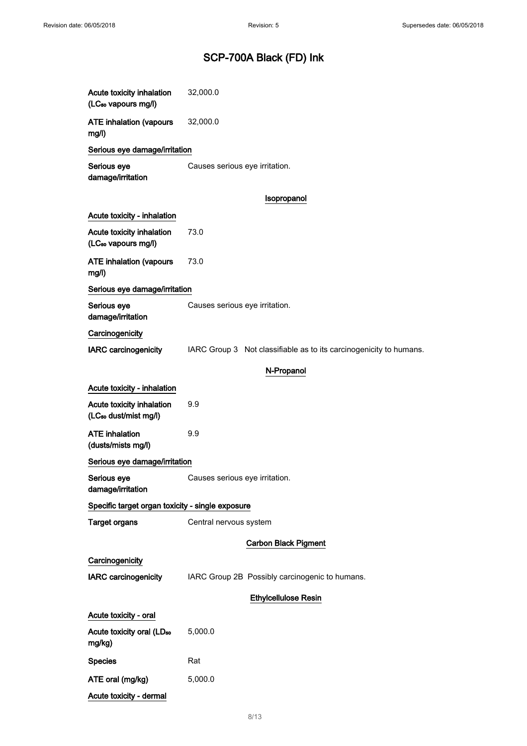| Acute toxicity inhalation<br>(LC <sub>50</sub> vapours mg/l)   | 32,000.0                                                           |  |
|----------------------------------------------------------------|--------------------------------------------------------------------|--|
| <b>ATE inhalation (vapours</b><br>mg/l)                        | 32,000.0                                                           |  |
| Serious eye damage/irritation                                  |                                                                    |  |
| Serious eye<br>damage/irritation                               | Causes serious eye irritation.                                     |  |
|                                                                | Isopropanol                                                        |  |
| Acute toxicity - inhalation                                    |                                                                    |  |
| Acute toxicity inhalation<br>(LC <sub>50</sub> vapours mg/l)   | 73.0                                                               |  |
| <b>ATE inhalation (vapours</b><br>mg/l)                        | 73.0                                                               |  |
| Serious eye damage/irritation                                  |                                                                    |  |
| Serious eye<br>damage/irritation                               | Causes serious eye irritation.                                     |  |
| Carcinogenicity                                                |                                                                    |  |
| <b>IARC carcinogenicity</b>                                    | IARC Group 3 Not classifiable as to its carcinogenicity to humans. |  |
|                                                                | N-Propanol                                                         |  |
| Acute toxicity - inhalation                                    |                                                                    |  |
| Acute toxicity inhalation<br>(LC <sub>50</sub> dust/mist mg/l) | 9.9                                                                |  |
| <b>ATE</b> inhalation<br>(dusts/mists mg/l)                    | 9.9                                                                |  |
| Serious eye damage/irritation                                  |                                                                    |  |
| Serious eve<br>damage/irritation                               | Causes serious eve irritation.                                     |  |
| Specific target organ toxicity - single exposure               |                                                                    |  |
| <b>Target organs</b>                                           | Central nervous system                                             |  |
|                                                                | <b>Carbon Black Pigment</b>                                        |  |
| Carcinogenicity                                                |                                                                    |  |
| <b>IARC</b> carcinogenicity                                    | IARC Group 2B Possibly carcinogenic to humans.                     |  |
|                                                                | <b>Ethylcellulose Resin</b>                                        |  |
| Acute toxicity - oral                                          |                                                                    |  |
| Acute toxicity oral (LD <sub>50</sub><br>mg/kg)                | 5,000.0                                                            |  |
| <b>Species</b>                                                 | Rat                                                                |  |
| ATE oral (mg/kg)                                               | 5,000.0                                                            |  |
| Acute toxicity - dermal                                        |                                                                    |  |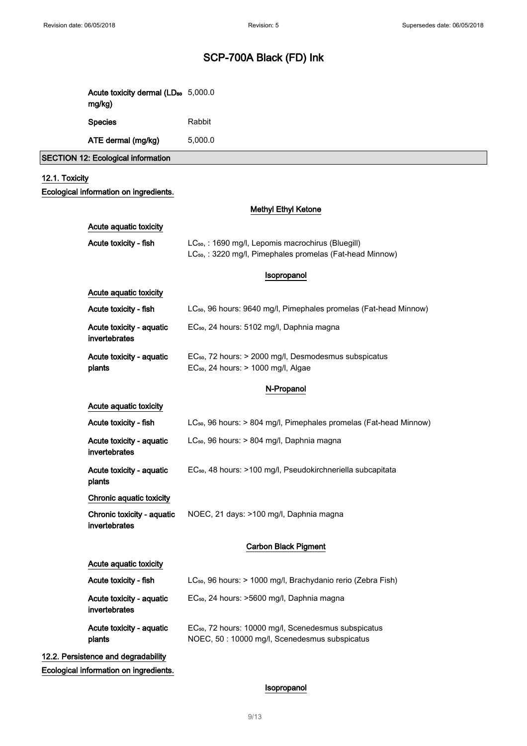|                | Acute toxicity dermal (LD <sub>50</sub> 5,000.0<br>mg/kg) |                                                                                                                                         |
|----------------|-----------------------------------------------------------|-----------------------------------------------------------------------------------------------------------------------------------------|
|                | <b>Species</b>                                            | Rabbit                                                                                                                                  |
|                | ATE dermal (mg/kg)                                        | 5,000.0                                                                                                                                 |
|                | <b>SECTION 12: Ecological information</b>                 |                                                                                                                                         |
| 12.1. Toxicity |                                                           |                                                                                                                                         |
|                | Ecological information on ingredients.                    |                                                                                                                                         |
|                |                                                           | <b>Methyl Ethyl Ketone</b>                                                                                                              |
|                | Acute aquatic toxicity                                    |                                                                                                                                         |
|                | Acute toxicity - fish                                     | LC <sub>50</sub> , : 1690 mg/l, Lepomis macrochirus (Bluegill)<br>LC <sub>50</sub> , : 3220 mg/l, Pimephales promelas (Fat-head Minnow) |
|                |                                                           | Isopropanol                                                                                                                             |
|                | Acute aquatic toxicity                                    |                                                                                                                                         |
|                | Acute toxicity - fish                                     | LC <sub>50</sub> , 96 hours: 9640 mg/l, Pimephales promelas (Fat-head Minnow)                                                           |
|                | Acute toxicity - aquatic<br>invertebrates                 | EC <sub>50</sub> , 24 hours: 5102 mg/l, Daphnia magna                                                                                   |
|                | Acute toxicity - aquatic<br>plants                        | EC <sub>50</sub> , 72 hours: > 2000 mg/l, Desmodesmus subspicatus<br>EC <sub>50</sub> , 24 hours: > 1000 mg/l, Algae                    |
|                |                                                           | N-Propanol                                                                                                                              |
|                | Acute aquatic toxicity                                    |                                                                                                                                         |
|                |                                                           |                                                                                                                                         |
|                | Acute toxicity - fish                                     | LC <sub>50</sub> , 96 hours: > 804 mg/l, Pimephales promelas (Fat-head Minnow)                                                          |
|                | Acute toxicity - aquatic<br>invertebrates                 | LC <sub>50</sub> , 96 hours: > 804 mg/l, Daphnia magna                                                                                  |
|                | Acute toxicity - aquatic<br>plants                        | EC <sub>50</sub> , 48 hours: >100 mg/l, Pseudokirchneriella subcapitata                                                                 |
|                | <b>Chronic aquatic toxicity</b>                           |                                                                                                                                         |
|                | Chronic toxicity - aquatic<br>invertebrates               | NOEC, 21 days: >100 mg/l, Daphnia magna                                                                                                 |
|                |                                                           | <b>Carbon Black Pigment</b>                                                                                                             |
|                | Acute aquatic toxicity                                    |                                                                                                                                         |
|                | Acute toxicity - fish                                     | LC <sub>50</sub> , 96 hours: > 1000 mg/l, Brachydanio rerio (Zebra Fish)                                                                |
|                | Acute toxicity - aquatic<br>invertebrates                 | EC <sub>50</sub> , 24 hours: >5600 mg/l, Daphnia magna                                                                                  |
|                | Acute toxicity - aquatic<br>plants                        | EC <sub>50</sub> , 72 hours: 10000 mg/l, Scenedesmus subspicatus<br>NOEC, 50 : 10000 mg/l, Scenedesmus subspicatus                      |
|                | 12.2. Persistence and degradability                       |                                                                                                                                         |

### Isopropanol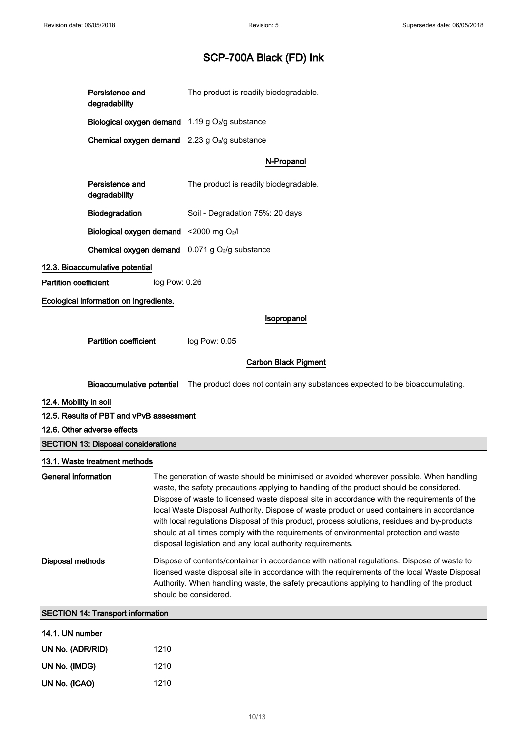|                              | Persistence and<br>degradability           |                                                                                                                                                                                                                                                                                                                                                                                                                                                                                                                                                                                                                                        | The product is readily biodegradable.                                       |
|------------------------------|--------------------------------------------|----------------------------------------------------------------------------------------------------------------------------------------------------------------------------------------------------------------------------------------------------------------------------------------------------------------------------------------------------------------------------------------------------------------------------------------------------------------------------------------------------------------------------------------------------------------------------------------------------------------------------------------|-----------------------------------------------------------------------------|
|                              |                                            |                                                                                                                                                                                                                                                                                                                                                                                                                                                                                                                                                                                                                                        | <b>Biological oxygen demand</b> $1.19$ g $O2/g$ substance                   |
|                              |                                            |                                                                                                                                                                                                                                                                                                                                                                                                                                                                                                                                                                                                                                        | <b>Chemical oxygen demand</b> $2.23$ g O <sub>2</sub> /g substance          |
|                              |                                            |                                                                                                                                                                                                                                                                                                                                                                                                                                                                                                                                                                                                                                        | N-Propanol                                                                  |
|                              | Persistence and<br>degradability           |                                                                                                                                                                                                                                                                                                                                                                                                                                                                                                                                                                                                                                        | The product is readily biodegradable.                                       |
|                              | <b>Biodegradation</b>                      |                                                                                                                                                                                                                                                                                                                                                                                                                                                                                                                                                                                                                                        | Soil - Degradation 75%: 20 days                                             |
|                              | Biological oxygen demand <2000 mg O2/I     |                                                                                                                                                                                                                                                                                                                                                                                                                                                                                                                                                                                                                                        |                                                                             |
|                              |                                            |                                                                                                                                                                                                                                                                                                                                                                                                                                                                                                                                                                                                                                        | Chemical oxygen demand 0.071 g O <sub>2</sub> /g substance                  |
|                              | 12.3. Bioaccumulative potential            |                                                                                                                                                                                                                                                                                                                                                                                                                                                                                                                                                                                                                                        |                                                                             |
| <b>Partition coefficient</b> |                                            | log Pow: 0.26                                                                                                                                                                                                                                                                                                                                                                                                                                                                                                                                                                                                                          |                                                                             |
|                              | Ecological information on ingredients.     |                                                                                                                                                                                                                                                                                                                                                                                                                                                                                                                                                                                                                                        |                                                                             |
|                              |                                            |                                                                                                                                                                                                                                                                                                                                                                                                                                                                                                                                                                                                                                        | Isopropanol                                                                 |
|                              | <b>Partition coefficient</b>               |                                                                                                                                                                                                                                                                                                                                                                                                                                                                                                                                                                                                                                        | log Pow: 0.05                                                               |
| <b>Carbon Black Pigment</b>  |                                            |                                                                                                                                                                                                                                                                                                                                                                                                                                                                                                                                                                                                                                        |                                                                             |
|                              | <b>Bioaccumulative potential</b>           |                                                                                                                                                                                                                                                                                                                                                                                                                                                                                                                                                                                                                                        | The product does not contain any substances expected to be bioaccumulating. |
| 12.4. Mobility in soil       |                                            |                                                                                                                                                                                                                                                                                                                                                                                                                                                                                                                                                                                                                                        |                                                                             |
|                              | 12.5. Results of PBT and vPvB assessment   |                                                                                                                                                                                                                                                                                                                                                                                                                                                                                                                                                                                                                                        |                                                                             |
|                              | 12.6. Other adverse effects                |                                                                                                                                                                                                                                                                                                                                                                                                                                                                                                                                                                                                                                        |                                                                             |
|                              | <b>SECTION 13: Disposal considerations</b> |                                                                                                                                                                                                                                                                                                                                                                                                                                                                                                                                                                                                                                        |                                                                             |
|                              | 13.1. Waste treatment methods              |                                                                                                                                                                                                                                                                                                                                                                                                                                                                                                                                                                                                                                        |                                                                             |
| <b>General information</b>   |                                            | The generation of waste should be minimised or avoided wherever possible. When handling<br>waste, the safety precautions applying to handling of the product should be considered.<br>Dispose of waste to licensed waste disposal site in accordance with the requirements of the<br>local Waste Disposal Authority. Dispose of waste product or used containers in accordance<br>with local regulations Disposal of this product, process solutions, residues and by-products<br>should at all times comply with the requirements of environmental protection and waste<br>disposal legislation and any local authority requirements. |                                                                             |
| <b>Disposal methods</b>      |                                            | Dispose of contents/container in accordance with national regulations. Dispose of waste to<br>licensed waste disposal site in accordance with the requirements of the local Waste Disposal<br>Authority. When handling waste, the safety precautions applying to handling of the product<br>should be considered.                                                                                                                                                                                                                                                                                                                      |                                                                             |
|                              | <b>SECTION 14: Transport information</b>   |                                                                                                                                                                                                                                                                                                                                                                                                                                                                                                                                                                                                                                        |                                                                             |
|                              |                                            |                                                                                                                                                                                                                                                                                                                                                                                                                                                                                                                                                                                                                                        |                                                                             |

| 14.1. UN number  |      |  |
|------------------|------|--|
| UN No. (ADR/RID) | 1210 |  |
| UN No. (IMDG)    | 1210 |  |
| UN No. (ICAO)    | 1210 |  |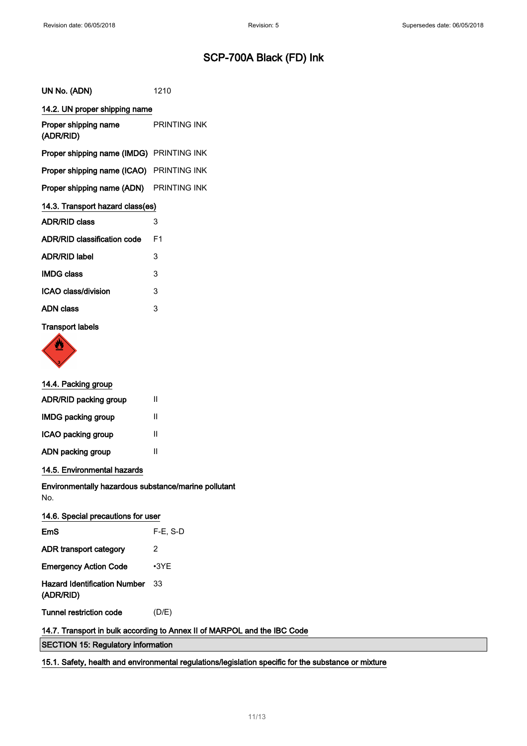| UN No. (ADN)                             | 1210                |  |  |  |
|------------------------------------------|---------------------|--|--|--|
| 14.2. UN proper shipping name            |                     |  |  |  |
| Proper shipping name<br>(ADR/RID)        | <b>PRINTING INK</b> |  |  |  |
| Proper shipping name (IMDG) PRINTING INK |                     |  |  |  |
| Proper shipping name (ICAO) PRINTING INK |                     |  |  |  |
| Proper shipping name (ADN) PRINTING INK  |                     |  |  |  |
| 14.3. Transport hazard class(es)         |                     |  |  |  |
| <b>ADR/RID class</b>                     | 3                   |  |  |  |
| <b>ADR/RID classification code</b>       | F <sub>1</sub>      |  |  |  |
| <b>ADR/RID label</b>                     | 3                   |  |  |  |
| <b>IMDG class</b>                        | 3                   |  |  |  |
| <b>ICAO class/division</b>               | 3                   |  |  |  |
| <b>ADN</b> class                         | 3                   |  |  |  |
| <b>Transport labels</b>                  |                     |  |  |  |



| $\mathsf{I}$                                                             |  |  |  |  |
|--------------------------------------------------------------------------|--|--|--|--|
| Ш                                                                        |  |  |  |  |
| Ш                                                                        |  |  |  |  |
| Ш                                                                        |  |  |  |  |
| 14.5. Environmental hazards                                              |  |  |  |  |
| Environmentally hazardous substance/marine pollutant<br>No.              |  |  |  |  |
| 14.6. Special precautions for user                                       |  |  |  |  |
| $F-E$ , S-D                                                              |  |  |  |  |
| 2                                                                        |  |  |  |  |
| $\cdot$ 3YE                                                              |  |  |  |  |
| 33                                                                       |  |  |  |  |
| (D/E)                                                                    |  |  |  |  |
| 14.7. Transport in bulk according to Annex II of MARPOL and the IBC Code |  |  |  |  |
|                                                                          |  |  |  |  |

SECTION 15: Regulatory information

15.1. Safety, health and environmental regulations/legislation specific for the substance or mixture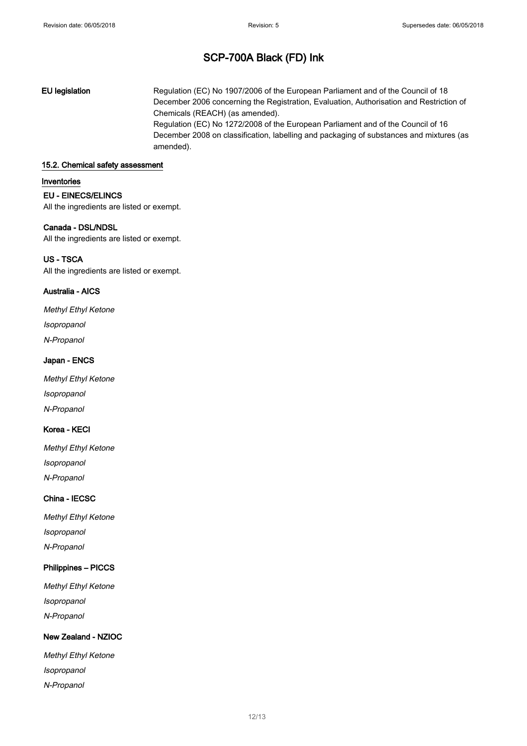EU legislation Regulation (EC) No 1907/2006 of the European Parliament and of the Council of 18 December 2006 concerning the Registration, Evaluation, Authorisation and Restriction of Chemicals (REACH) (as amended). Regulation (EC) No 1272/2008 of the European Parliament and of the Council of 16 December 2008 on classification, labelling and packaging of substances and mixtures (as amended).

#### 15.2. Chemical safety assessment

#### Inventories

EU - EINECS/ELINCS

All the ingredients are listed or exempt.

### Canada - DSL/NDSL

All the ingredients are listed or exempt.

### US - TSCA

All the ingredients are listed or exempt.

### Australia - AICS

Methyl Ethyl Ketone Isopropanol N-Propanol

### Japan - ENCS

Methyl Ethyl Ketone Isopropanol N-Propanol

### Korea - KECI

Methyl Ethyl Ketone Isopropanol N-Propanol

### China - IECSC

Methyl Ethyl Ketone Isopropanol N-Propanol

### Philippines – PICCS

Methyl Ethyl Ketone Isopropanol N-Propanol

### New Zealand - NZIOC

Methyl Ethyl Ketone Isopropanol N-Propanol